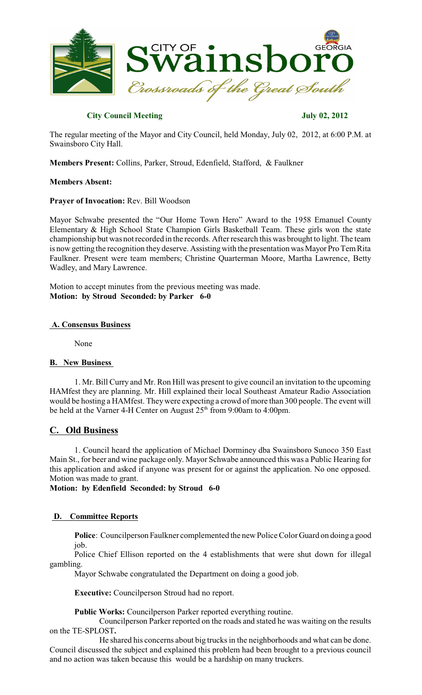

## **City Council Meeting July 02, 2012**

The regular meeting of the Mayor and City Council, held Monday, July 02, 2012, at 6:00 P.M. at Swainsboro City Hall.

**Members Present:** Collins, Parker, Stroud, Edenfield, Stafford, & Faulkner

## **Members Absent:**

## **Prayer of Invocation:** Rev. Bill Woodson

Mayor Schwabe presented the "Our Home Town Hero" Award to the 1958 Emanuel County Elementary & High School State Champion Girls Basketball Team. These girls won the state championship but was not recorded in the records. Afterresearch this was brought to light. The team is now getting the recognition they deserve. Assisting with the presentation was Mayor Pro Tem Rita Faulkner. Present were team members; Christine Quarterman Moore, Martha Lawrence, Betty Wadley, and Mary Lawrence.

Motion to accept minutes from the previous meeting was made. **Motion: by Stroud Seconded: by Parker 6-0**

## **A. Consensus Business**

None

## **B. New Business**

1. Mr. Bill Curry and Mr. Ron Hill was present to give council an invitation to the upcoming HAMfest they are planning. Mr. Hill explained their local Southeast Amateur Radio Association would be hosting a HAMfest. Theywere expecting a crowd of more than 300 people. The event will be held at the Varner 4-H Center on August  $25<sup>th</sup>$  from 9:00am to 4:00pm.

# **C. Old Business**

1. Council heard the application of Michael Dorminey dba Swainsboro Sunoco 350 East Main St., for beer and wine package only. Mayor Schwabe announced this was a Public Hearing for this application and asked if anyone was present for or against the application. No one opposed. Motion was made to grant.

**Motion: by Edenfield Seconded: by Stroud 6-0**

## **D. Committee Reports**

**Police**: Councilperson Faulkner complemented the new Police Color Guard on doing a good job.

Police Chief Ellison reported on the 4 establishments that were shut down for illegal gambling.

Mayor Schwabe congratulated the Department on doing a good job.

**Executive:** Councilperson Stroud had no report.

**Public Works:** Councilperson Parker reported everything routine.

Councilperson Parker reported on the roads and stated he was waiting on the results on the TE-SPLOST**.**

He shared his concerns about big trucks in the neighborhoods and what can be done. Council discussed the subject and explained this problem had been brought to a previous council and no action was taken because this would be a hardship on many truckers.